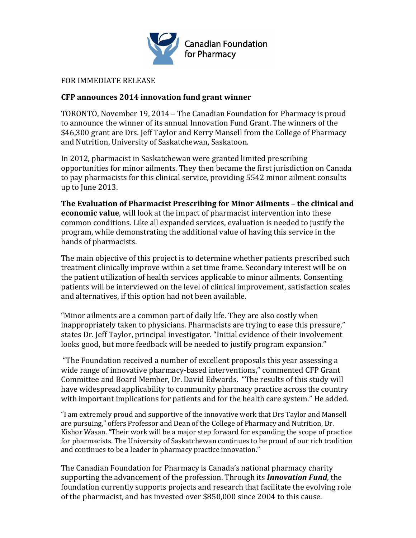

## FOR IMMEDIATE RELEASE

## **CFP announces 2014 innovation fund grant winner**

TORONTO, November 19, 2014 – The Canadian Foundation for Pharmacy is proud to announce the winner of its annual Innovation Fund Grant. The winners of the \$46,300 grant are Drs. Jeff Taylor and Kerry Mansell from the College of Pharmacy and Nutrition, University of Saskatchewan, Saskatoon.

In 2012, pharmacist in Saskatchewan were granted limited prescribing opportunities for minor ailments. They then became the first jurisdiction on Canada to pay pharmacists for this clinical service, providing 5542 minor ailment consults up to June 2013.

**The Evaluation of Pharmacist Prescribing for Minor Ailments – the clinical and economic value**, will look at the impact of pharmacist intervention into these common conditions. Like all expanded services, evaluation is needed to justify the program, while demonstrating the additional value of having this service in the hands of pharmacists.

The main objective of this project is to determine whether patients prescribed such treatment clinically improve within a set time frame. Secondary interest will be on the patient utilization of health services applicable to minor ailments. Consenting patients will be interviewed on the level of clinical improvement, satisfaction scales and alternatives, if this option had not been available.

"Minor ailments are a common part of daily life. They are also costly when inappropriately taken to physicians. Pharmacists are trying to ease this pressure," states Dr. Jeff Taylor, principal investigator. "Initial evidence of their involvement looks good, but more feedback will be needed to justify program expansion."

"The Foundation received a number of excellent proposals this year assessing a wide range of innovative pharmacy-based interventions," commented CFP Grant Committee and Board Member, Dr. David Edwards. "The results of this study will have widespread applicability to community pharmacy practice across the country with important implications for patients and for the health care system." He added.

"I am extremely proud and supportive of the innovative work that Drs Taylor and Mansell are pursuing," offers Professor and Dean of the College of Pharmacy and Nutrition, Dr. Kishor Wasan. "Their work will be a major step forward for expanding the scope of practice for pharmacists. The University of Saskatchewan continues to be proud of our rich tradition and continues to be a leader in pharmacy practice innovation."

The Canadian Foundation for Pharmacy is Canada's national pharmacy charity supporting the advancement of the profession. Through its *Innovation Fund*, the foundation currently supports projects and research that facilitate the evolving role of the pharmacist, and has invested over \$850,000 since 2004 to this cause.